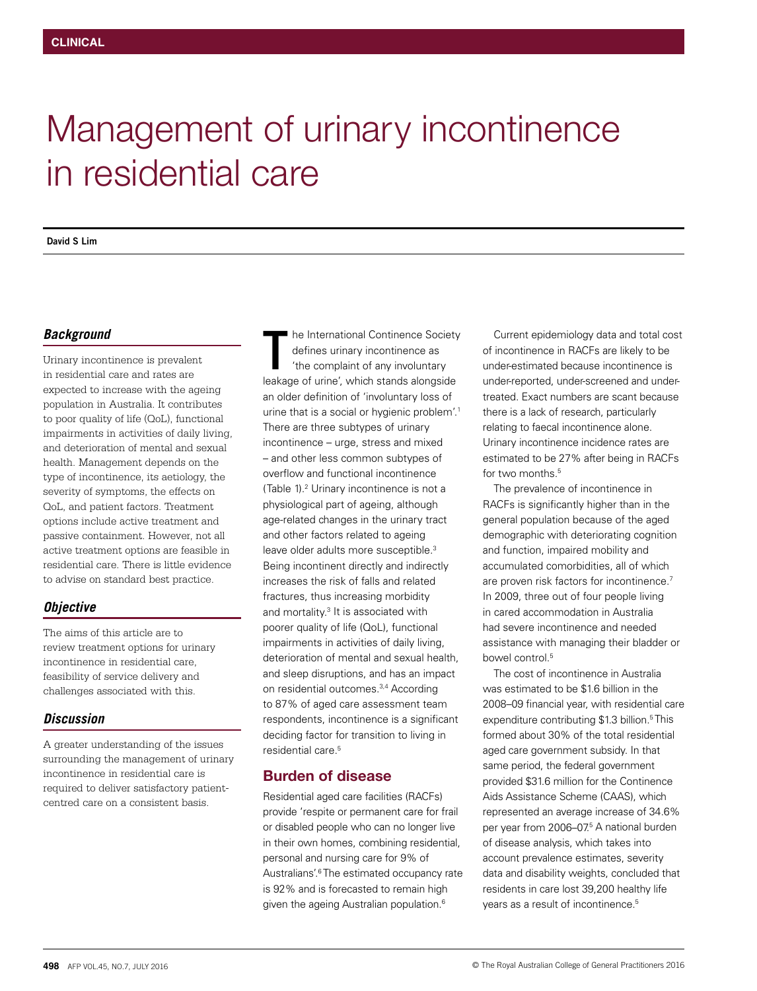# Management of urinary incontinence in residential care

**David S Lim**

## *Background*

Urinary incontinence is prevalent in residential care and rates are expected to increase with the ageing population in Australia. It contributes to poor quality of life (QoL), functional impairments in activities of daily living, and deterioration of mental and sexual health. Management depends on the type of incontinence, its aetiology, the severity of symptoms, the effects on QoL, and patient factors. Treatment options include active treatment and passive containment. However, not all active treatment options are feasible in residential care. There is little evidence to advise on standard best practice.

## *Objective*

The aims of this article are to review treatment options for urinary incontinence in residential care, feasibility of service delivery and challenges associated with this.

# *Discussion*

A greater understanding of the issues surrounding the management of urinary incontinence in residential care is required to deliver satisfactory patientcentred care on a consistent basis.

he International Continence Society defines urinary incontinence as 'the complaint of any involuntary leakage of urine', which stands alongside an older definition of 'involuntary loss of urine that is a social or hygienic problem'.<sup>1</sup> There are three subtypes of urinary incontinence – urge, stress and mixed – and other less common subtypes of overflow and functional incontinence (Table 1).2 Urinary incontinence is not a physiological part of ageing, although age-related changes in the urinary tract and other factors related to ageing leave older adults more susceptible.<sup>3</sup> Being incontinent directly and indirectly increases the risk of falls and related fractures, thus increasing morbidity and mortality.<sup>3</sup> It is associated with poorer quality of life (QoL), functional impairments in activities of daily living, deterioration of mental and sexual health, and sleep disruptions, and has an impact on residential outcomes.3,4 According to 87% of aged care assessment team respondents, incontinence is a significant deciding factor for transition to living in residential care.5 The International Continence Society<br>
defines urinary incontinence as<br>
the complaint of any involuntary<br>
defines the complaint of any involuntary<br>
defines the complaint of any involuntary<br>
defines the complaint of any invo

# Burden of disease

Residential aged care facilities (RACFs) provide 'respite or permanent care for frail or disabled people who can no longer live in their own homes, combining residential, personal and nursing care for 9% of Australians'.<sup>6</sup> The estimated occupancy rate is 92% and is forecasted to remain high given the ageing Australian population.<sup>6</sup>

of incontinence in RACFs are likely to be under-estimated because incontinence is under-reported, under-screened and undertreated. Exact numbers are scant because there is a lack of research, particularly relating to faecal incontinence alone. Urinary incontinence incidence rates are estimated to be 27% after being in RACFs for two months<sup>5</sup>

The prevalence of incontinence in RACFs is significantly higher than in the general population because of the aged demographic with deteriorating cognition and function, impaired mobility and accumulated comorbidities, all of which are proven risk factors for incontinence.<sup>7</sup> In 2009, three out of four people living in cared accommodation in Australia had severe incontinence and needed assistance with managing their bladder or bowel control.<sup>5</sup>

The cost of incontinence in Australia was estimated to be \$1.6 billion in the 2008–09 financial year, with residential care expenditure contributing \$1.3 billion.<sup>5</sup> This formed about 30% of the total residential aged care government subsidy. In that same period, the federal government provided \$31.6 million for the Continence Aids Assistance Scheme (CAAS), which represented an average increase of 34.6% per year from 2006–07<sup>5</sup> A national burden of disease analysis, which takes into account prevalence estimates, severity data and disability weights, concluded that residents in care lost 39,200 healthy life years as a result of incontinence.<sup>5</sup>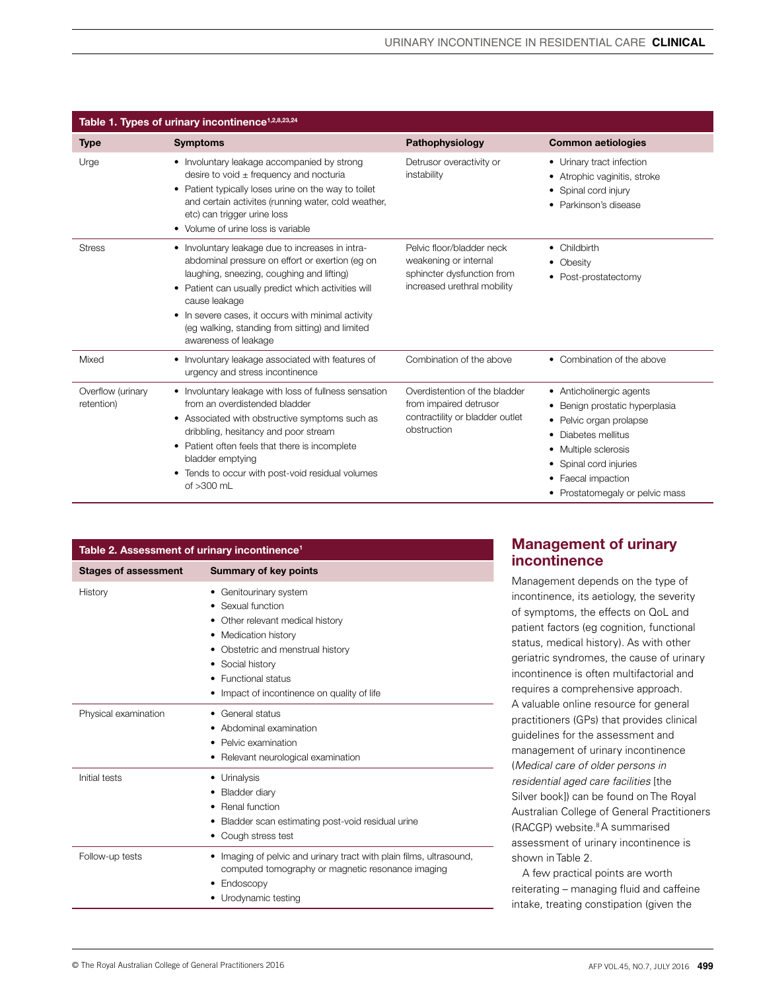| Table 1. Types of urinary incontinence <sup>1,2,8,23,24</sup> |                                                                                                                                                                                                                                                                                                                                                                 |                                                                                                                 |                                                                                                                                                                                                                        |  |  |
|---------------------------------------------------------------|-----------------------------------------------------------------------------------------------------------------------------------------------------------------------------------------------------------------------------------------------------------------------------------------------------------------------------------------------------------------|-----------------------------------------------------------------------------------------------------------------|------------------------------------------------------------------------------------------------------------------------------------------------------------------------------------------------------------------------|--|--|
| <b>Type</b>                                                   | <b>Symptoms</b>                                                                                                                                                                                                                                                                                                                                                 | Pathophysiology                                                                                                 | <b>Common aetiologies</b>                                                                                                                                                                                              |  |  |
| Urge                                                          | • Involuntary leakage accompanied by strong<br>desire to void $\pm$ frequency and nocturia<br>• Patient typically loses urine on the way to toilet<br>and certain activites (running water, cold weather,<br>etc) can trigger urine loss<br>• Volume of urine loss is variable                                                                                  | Detrusor overactivity or<br>instability                                                                         | • Urinary tract infection<br>Atrophic vaginitis, stroke<br>Spinal cord injury<br>٠<br>Parkinson's disease                                                                                                              |  |  |
| <b>Stress</b>                                                 | • Involuntary leakage due to increases in intra-<br>abdominal pressure on effort or exertion (eq on<br>laughing, sneezing, coughing and lifting)<br>Patient can usually predict which activities will<br>٠<br>cause leakage<br>In severe cases, it occurs with minimal activity<br>٠<br>(eg walking, standing from sitting) and limited<br>awareness of leakage | Pelvic floor/bladder neck<br>weakening or internal<br>sphincter dysfunction from<br>increased urethral mobility | • Childbirth<br>• Obesity<br>• Post-prostatectomy                                                                                                                                                                      |  |  |
| Mixed                                                         | • Involuntary leakage associated with features of<br>urgency and stress incontinence                                                                                                                                                                                                                                                                            | Combination of the above                                                                                        | • Combination of the above                                                                                                                                                                                             |  |  |
| Overflow (urinary<br>retention)                               | • Involuntary leakage with loss of fullness sensation<br>from an overdistended bladder<br>Associated with obstructive symptoms such as<br>٠<br>dribbling, hesitancy and poor stream<br>• Patient often feels that there is incomplete<br>bladder emptying<br>Tends to occur with post-void residual volumes<br>٠<br>of $>300$ mL                                | Overdistention of the bladder<br>from impaired detrusor<br>contractility or bladder outlet<br>obstruction       | • Anticholinergic agents<br>Benign prostatic hyperplasia<br>• Pelvic organ prolapse<br>Diabetes mellitus<br>٠<br>• Multiple sclerosis<br>Spinal cord injuries<br>• Faecal impaction<br>• Prostatomegaly or pelvic mass |  |  |

| Table 2. Assessment of urinary incontinence <sup>1</sup> |                                                                                                                                                                                                                                        |  |  |  |
|----------------------------------------------------------|----------------------------------------------------------------------------------------------------------------------------------------------------------------------------------------------------------------------------------------|--|--|--|
| <b>Stages of assessment</b>                              | <b>Summary of key points</b>                                                                                                                                                                                                           |  |  |  |
| History                                                  | Genitourinary system<br>٠<br>Sexual function<br>Other relevant medical history<br>• Medication history<br>Obstetric and menstrual history<br>• Social history<br><b>Functional status</b><br>Impact of incontinence on quality of life |  |  |  |
| Physical examination                                     | General status<br>Abdominal examination<br>Pelvic examination<br>Relevant neurological examination                                                                                                                                     |  |  |  |
| Initial tests                                            | Urinalysis<br>Bladder diarv<br>Renal function<br>Bladder scan estimating post-void residual urine<br>Cough stress test                                                                                                                 |  |  |  |
| Follow-up tests                                          | Imaging of pelvic and urinary tract with plain films, ultrasound,<br>computed tomography or magnetic resonance imaging<br>Endoscopy<br>Urodynamic testing                                                                              |  |  |  |

# Management of urinary incontinence

Management depends on the type of incontinence, its aetiology, the severity of symptoms, the effects on QoL and patient factors (eg cognition, functional status, medical history). As with other geriatric syndromes, the cause of urinary incontinence is often multifactorial and requires a comprehensive approach. A valuable online resource for general practitioners (GPs) that provides clinical guidelines for the assessment and management of urinary incontinence (*Medical care of older persons in residential aged care facilities* [the Silver book]) can be found on The Royal Australian College of General Practitioners (RACGP) website.<sup>8</sup> A summarised assessment of urinary incontinence is shown in Table 2.

A few practical points are worth reiterating – managing fluid and caffeine intake, treating constipation (given the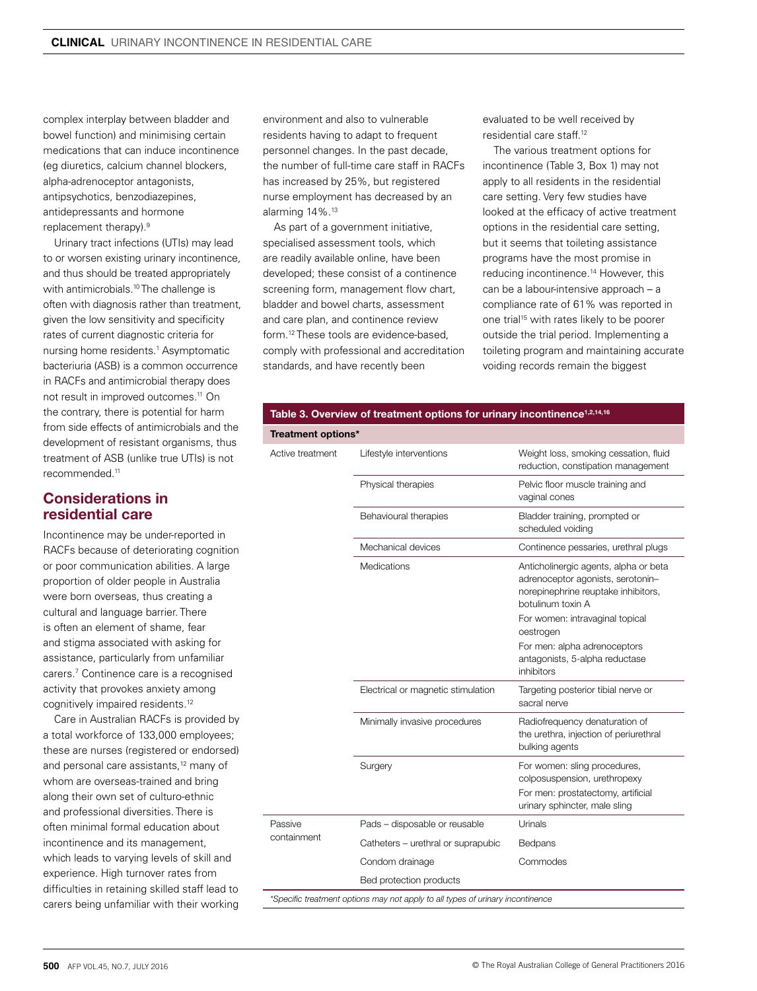complex interplay between bladder and bowel function) and minimising certain medications that can induce incontinence (eg diuretics, calcium channel blockers, alpha-adrenoceptor antagonists, antipsychotics, benzodiazepines, antidepressants and hormone replacement therapy).9

Urinary tract infections (UTIs) may lead to or worsen existing urinary incontinence, and thus should be treated appropriately with antimicrobials.<sup>10</sup> The challenge is often with diagnosis rather than treatment, given the low sensitivity and specificity rates of current diagnostic criteria for nursing home residents.1 Asymptomatic bacteriuria (ASB) is a common occurrence in RACFs and antimicrobial therapy does not result in improved outcomes.11 On the contrary, there is potential for harm from side effects of antimicrobials and the development of resistant organisms, thus treatment of ASB (unlike true UTIs) is not recommended<sup>11</sup>

# Considerations in residential care

Incontinence may be under-reported in RACFs because of deteriorating cognition or poor communication abilities. A large proportion of older people in Australia were born overseas, thus creating a cultural and language barrier. There is often an element of shame, fear and stigma associated with asking for assistance, particularly from unfamiliar carers.7 Continence care is a recognised activity that provokes anxiety among cognitively impaired residents.12

Care in Australian RACFs is provided by a total workforce of 133,000 employees; these are nurses (registered or endorsed) and personal care assistants,<sup>12</sup> many of whom are overseas-trained and bring along their own set of culturo-ethnic and professional diversities. There is often minimal formal education about incontinence and its management, which leads to varying levels of skill and experience. High turnover rates from difficulties in retaining skilled staff lead to carers being unfamiliar with their working

environment and also to vulnerable residents having to adapt to frequent personnel changes. In the past decade, the number of full-time care staff in RACFs has increased by 25%, but registered nurse employment has decreased by an alarming 14%.13

As part of a government initiative, specialised assessment tools, which are readily available online, have been developed; these consist of a continence screening form, management flow chart, bladder and bowel charts, assessment and care plan, and continence review form.12 These tools are evidence-based, comply with professional and accreditation standards, and have recently been

evaluated to be well received by residential care staff.12

The various treatment options for incontinence (Table 3, Box 1) may not apply to all residents in the residential care setting. Very few studies have looked at the efficacy of active treatment options in the residential care setting, but it seems that toileting assistance programs have the most promise in reducing incontinence.14 However, this can be a labour-intensive approach – a compliance rate of 61% was reported in one trial<sup>15</sup> with rates likely to be poorer outside the trial period. Implementing a toileting program and maintaining accurate voiding records remain the biggest

| Treatment options* |                         |                                                                             |  |  |
|--------------------|-------------------------|-----------------------------------------------------------------------------|--|--|
| Active treatment   | Lifestyle interventions | Weight loss, smoking cessation, fluid<br>reduction, constipation management |  |  |
|                    | Physical therapies      | Pelvic floor muscle training and                                            |  |  |

Table 3. Overview of treatment options for urinary incontinence<sup>1,2,14,16</sup>

|             | Physical therapies                                                             | Pelvic floor muscle training and<br>vaginal cones                                                                                      |
|-------------|--------------------------------------------------------------------------------|----------------------------------------------------------------------------------------------------------------------------------------|
|             | Behavioural therapies                                                          | Bladder training, prompted or<br>scheduled voiding                                                                                     |
|             | Mechanical devices                                                             | Continence pessaries, urethral plugs                                                                                                   |
|             | <b>Medications</b>                                                             | Anticholinergic agents, alpha or beta<br>adrenoceptor agonists, serotonin-<br>norepinephrine reuptake inhibitors,<br>botulinum toxin A |
|             |                                                                                | For women: intravaginal topical<br>oestrogen                                                                                           |
|             |                                                                                | For men: alpha adrenoceptors<br>antagonists, 5-alpha reductase<br>inhibitors                                                           |
|             | Electrical or magnetic stimulation                                             | Targeting posterior tibial nerve or<br>sacral nerve                                                                                    |
|             | Minimally invasive procedures                                                  | Radiofrequency denaturation of<br>the urethra, injection of periurethral<br>bulking agents                                             |
|             | Surgery                                                                        | For women: sling procedures,<br>colposuspension, urethropexy                                                                           |
|             |                                                                                | For men: prostatectomy, artificial<br>urinary sphincter, male sling                                                                    |
| Passive     | Pads - disposable or reusable                                                  | Urinals                                                                                                                                |
| containment | Catheters - urethral or suprapubic                                             | <b>Bedpans</b>                                                                                                                         |
|             | Condom drainage                                                                | Commodes                                                                                                                               |
|             | Bed protection products                                                        |                                                                                                                                        |
|             | *Specific treatment options may not apply to all types of urinary incontinence |                                                                                                                                        |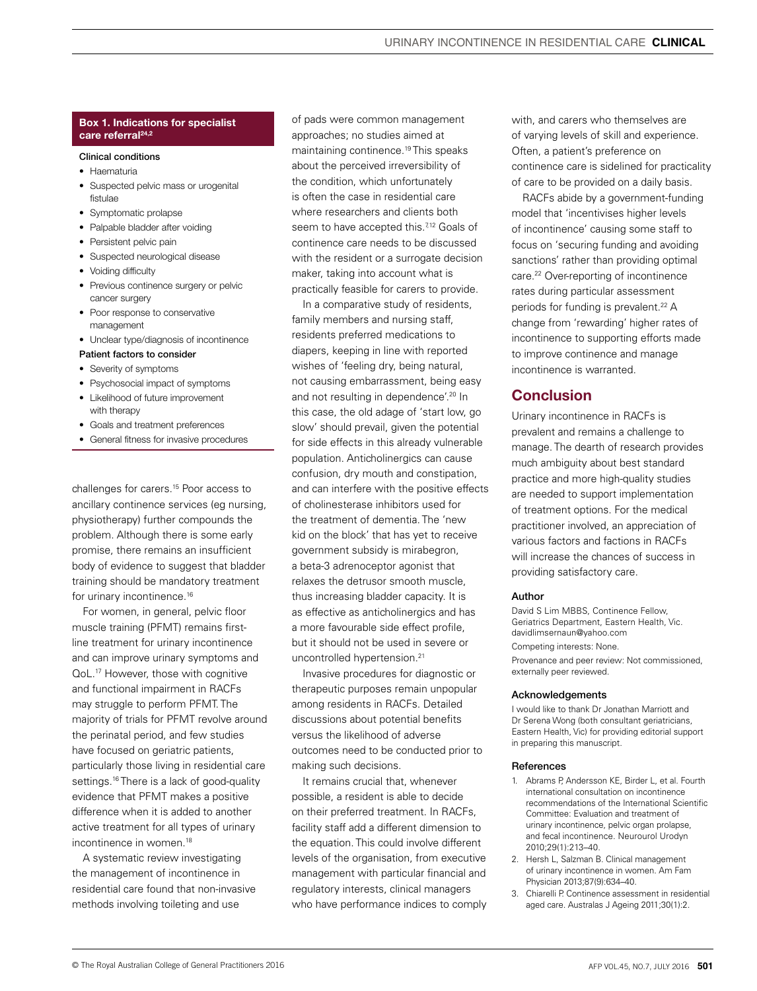### Box 1. Indications for specialist care referral<sup>24,2</sup>

#### Clinical conditions

- Haematuria
- Suspected pelvic mass or urogenital fistulae
- Symptomatic prolapse
- Palpable bladder after voiding
- Persistent pelvic pain
- Suspected neurological disease
- Voiding difficulty
- Previous continence surgery or pelvic cancer surgery
- Poor response to conservative management
- Unclear type/diagnosis of incontinence

## Patient factors to consider

- Severity of symptoms
- Psychosocial impact of symptoms • Likelihood of future improvement with therapy
- Goals and treatment preferences
- General fitness for invasive procedures

challenges for carers.15 Poor access to ancillary continence services (eg nursing, physiotherapy) further compounds the problem. Although there is some early promise, there remains an insufficient body of evidence to suggest that bladder training should be mandatory treatment for urinary incontinence.<sup>16</sup>

For women, in general, pelvic floor muscle training (PFMT) remains firstline treatment for urinary incontinence and can improve urinary symptoms and QoL.17 However, those with cognitive and functional impairment in RACFs may struggle to perform PFMT. The majority of trials for PFMT revolve around the perinatal period, and few studies have focused on geriatric patients, particularly those living in residential care settings.<sup>16</sup> There is a lack of good-quality evidence that PFMT makes a positive difference when it is added to another active treatment for all types of urinary incontinence in women.<sup>18</sup>

A systematic review investigating the management of incontinence in residential care found that non-invasive methods involving toileting and use

of pads were common management approaches; no studies aimed at maintaining continence.<sup>19</sup> This speaks about the perceived irreversibility of the condition, which unfortunately is often the case in residential care where researchers and clients both seem to have accepted this.<sup>712</sup> Goals of continence care needs to be discussed with the resident or a surrogate decision maker, taking into account what is practically feasible for carers to provide.

In a comparative study of residents, family members and nursing staff. residents preferred medications to diapers, keeping in line with reported wishes of 'feeling dry, being natural, not causing embarrassment, being easy and not resulting in dependence'.<sup>20</sup> In this case, the old adage of 'start low, go slow' should prevail, given the potential for side effects in this already vulnerable population. Anticholinergics can cause confusion, dry mouth and constipation, and can interfere with the positive effects of cholinesterase inhibitors used for the treatment of dementia. The 'new kid on the block' that has yet to receive government subsidy is mirabegron, a beta-3 adrenoceptor agonist that relaxes the detrusor smooth muscle, thus increasing bladder capacity. It is as effective as anticholinergics and has a more favourable side effect profile, but it should not be used in severe or uncontrolled hypertension.<sup>21</sup>

Invasive procedures for diagnostic or therapeutic purposes remain unpopular among residents in RACFs. Detailed discussions about potential benefits versus the likelihood of adverse outcomes need to be conducted prior to making such decisions.

It remains crucial that, whenever possible, a resident is able to decide on their preferred treatment. In RACFs, facility staff add a different dimension to the equation. This could involve different levels of the organisation, from executive management with particular financial and regulatory interests, clinical managers who have performance indices to comply

with, and carers who themselves are of varying levels of skill and experience. Often, a patient's preference on continence care is sidelined for practicality of care to be provided on a daily basis.

RACFs abide by a government-funding model that 'incentivises higher levels of incontinence' causing some staff to focus on 'securing funding and avoiding sanctions' rather than providing optimal care.<sup>22</sup> Over-reporting of incontinence rates during particular assessment periods for funding is prevalent.<sup>22</sup> A change from 'rewarding' higher rates of incontinence to supporting efforts made to improve continence and manage incontinence is warranted.

## **Conclusion**

Urinary incontinence in RACFs is prevalent and remains a challenge to manage. The dearth of research provides much ambiguity about best standard practice and more high-quality studies are needed to support implementation of treatment options. For the medical practitioner involved, an appreciation of various factors and factions in RACFs will increase the chances of success in providing satisfactory care.

#### Author

David S Lim MBBS, Continence Fellow, Geriatrics Department, Eastern Health, Vic. davidlimsernaun@yahoo.com Competing interests: None. Provenance and peer review: Not commissioned, externally peer reviewed.

#### Acknowledgements

I would like to thank Dr Jonathan Marriott and Dr Serena Wong (both consultant geriatricians, Eastern Health, Vic) for providing editorial support in preparing this manuscript.

#### References

- 1. Abrams P Andersson KE, Birder L, et al. Fourth international consultation on incontinence recommendations of the International Scientific Committee: Evaluation and treatment of urinary incontinence, pelvic organ prolapse, and fecal incontinence. Neurourol Urodyn 2010;29(1):213–40.
- 2. Hersh L, Salzman B. Clinical management of urinary incontinence in women. Am Fam Physician 2013;87(9):634–40.
- 3. Chiarelli P. Continence assessment in residential aged care. Australas J Ageing 2011;30(1):2.